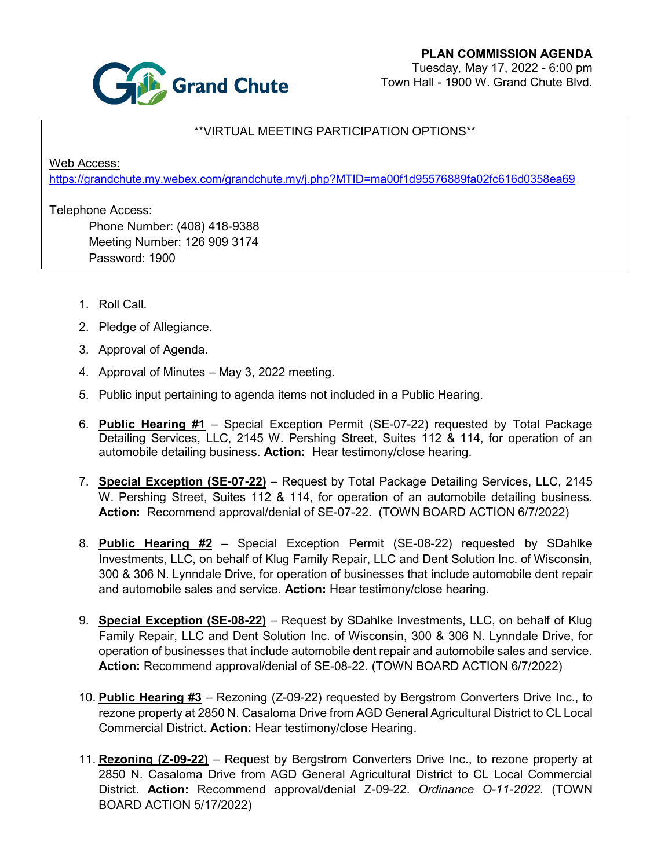

## \*\*VIRTUAL MEETING PARTICIPATION OPTIONS\*\*

Web Access:

<https://grandchute.my.webex.com/grandchute.my/j.php?MTID=ma00f1d95576889fa02fc616d0358ea69>

Telephone Access:

Phone Number: (408) 418-9388 Meeting Number: 126 909 3174 Password: 1900

- 1. Roll Call.
- 2. Pledge of Allegiance.
- 3. Approval of Agenda.
- 4. Approval of Minutes May 3, 2022 meeting.
- 5. Public input pertaining to agenda items not included in a Public Hearing.
- 6. **Public Hearing #1** Special Exception Permit (SE-07-22) requested by Total Package Detailing Services, LLC, 2145 W. Pershing Street, Suites 112 & 114, for operation of an automobile detailing business. **Action:** Hear testimony/close hearing.
- 7. **Special Exception (SE-07-22)** Request by Total Package Detailing Services, LLC, 2145 W. Pershing Street, Suites 112 & 114, for operation of an automobile detailing business. **Action:** Recommend approval/denial of SE-07-22. (TOWN BOARD ACTION 6/7/2022)
- 8. **Public Hearing #2** Special Exception Permit (SE-08-22) requested by SDahlke Investments, LLC, on behalf of Klug Family Repair, LLC and Dent Solution Inc. of Wisconsin, 300 & 306 N. Lynndale Drive, for operation of businesses that include automobile dent repair and automobile sales and service. **Action:** Hear testimony/close hearing.
- 9. **Special Exception (SE-08-22)** Request by SDahlke Investments, LLC, on behalf of Klug Family Repair, LLC and Dent Solution Inc. of Wisconsin, 300 & 306 N. Lynndale Drive, for operation of businesses that include automobile dent repair and automobile sales and service. **Action:** Recommend approval/denial of SE-08-22. (TOWN BOARD ACTION 6/7/2022)
- 10. **Public Hearing #3** Rezoning (Z-09-22) requested by Bergstrom Converters Drive Inc., to rezone property at 2850 N. Casaloma Drive from AGD General Agricultural District to CL Local Commercial District. **Action:** Hear testimony/close Hearing.
- 11. **Rezoning (Z-09-22)** Request by Bergstrom Converters Drive Inc., to rezone property at 2850 N. Casaloma Drive from AGD General Agricultural District to CL Local Commercial District. **Action:** Recommend approval/denial Z-09-22. *Ordinance O-11-2022.* (TOWN BOARD ACTION 5/17/2022)